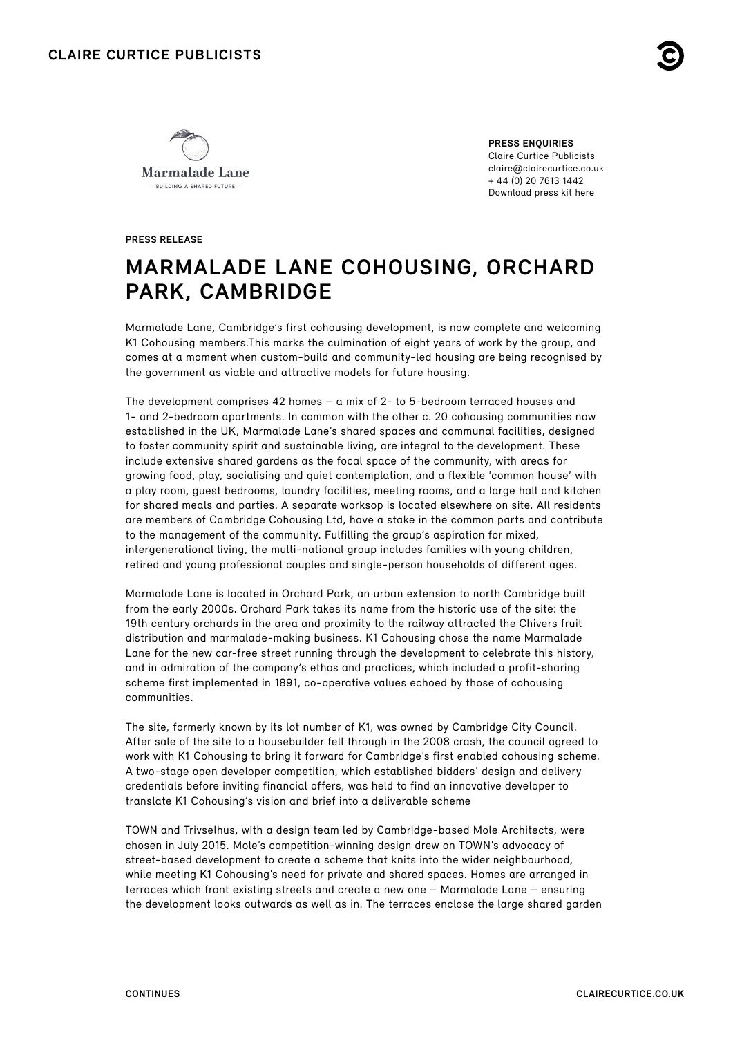



**PRESS ENQUIRIES** Claire Curtice Publicists claire@clairecurtice.co.uk + 44 (0) 20 7613 1442 [Download press kit here](https://www.dropbox.com/sh/ld6rcus5zfaft16/AABeXti0y9b02ljBWuru2TzIa?dl=0)

**PRESS RELEASE**

# **MARMALADE LANE COHOUSING, ORCHARD PARK, CAMBRIDGE**

Marmalade Lane, Cambridge's first cohousing development, is now complete and welcoming K1 Cohousing members.This marks the culmination of eight years of work by the group, and comes at a moment when custom-build and community-led housing are being recognised by the government as viable and attractive models for future housing.

The development comprises 42 homes – a mix of 2- to 5-bedroom terraced houses and 1- and 2-bedroom apartments. In common with the other c. 20 cohousing communities now established in the UK, Marmalade Lane's shared spaces and communal facilities, designed to foster community spirit and sustainable living, are integral to the development. These include extensive shared gardens as the focal space of the community, with areas for growing food, play, socialising and quiet contemplation, and a flexible 'common house' with a play room, guest bedrooms, laundry facilities, meeting rooms, and a large hall and kitchen for shared meals and parties. A separate worksop is located elsewhere on site. All residents are members of Cambridge Cohousing Ltd, have a stake in the common parts and contribute to the management of the community. Fulfilling the group's aspiration for mixed, intergenerational living, the multi-national group includes families with young children, retired and young professional couples and single-person households of different ages.

Marmalade Lane is located in Orchard Park, an urban extension to north Cambridge built from the early 2000s. Orchard Park takes its name from the historic use of the site: the 19th century orchards in the area and proximity to the railway attracted the Chivers fruit distribution and marmalade-making business. K1 Cohousing chose the name Marmalade Lane for the new car-free street running through the development to celebrate this history, and in admiration of the company's ethos and practices, which included a profit-sharing scheme first implemented in 1891, co-operative values echoed by those of cohousing communities.

The site, formerly known by its lot number of K1, was owned by Cambridge City Council. After sale of the site to a housebuilder fell through in the 2008 crash, the council agreed to work with K1 Cohousing to bring it forward for Cambridge's first enabled cohousing scheme. A two-stage open developer competition, which established bidders' design and delivery credentials before inviting financial offers, was held to find an innovative developer to translate K1 Cohousing's vision and brief into a deliverable scheme

TOWN and Trivselhus, with a design team led by Cambridge-based Mole Architects, were chosen in July 2015. Mole's competition-winning design drew on TOWN's advocacy of street-based development to create a scheme that knits into the wider neighbourhood, while meeting K1 Cohousing's need for private and shared spaces. Homes are arranged in terraces which front existing streets and create a new one – Marmalade Lane – ensuring the development looks outwards as well as in. The terraces enclose the large shared garden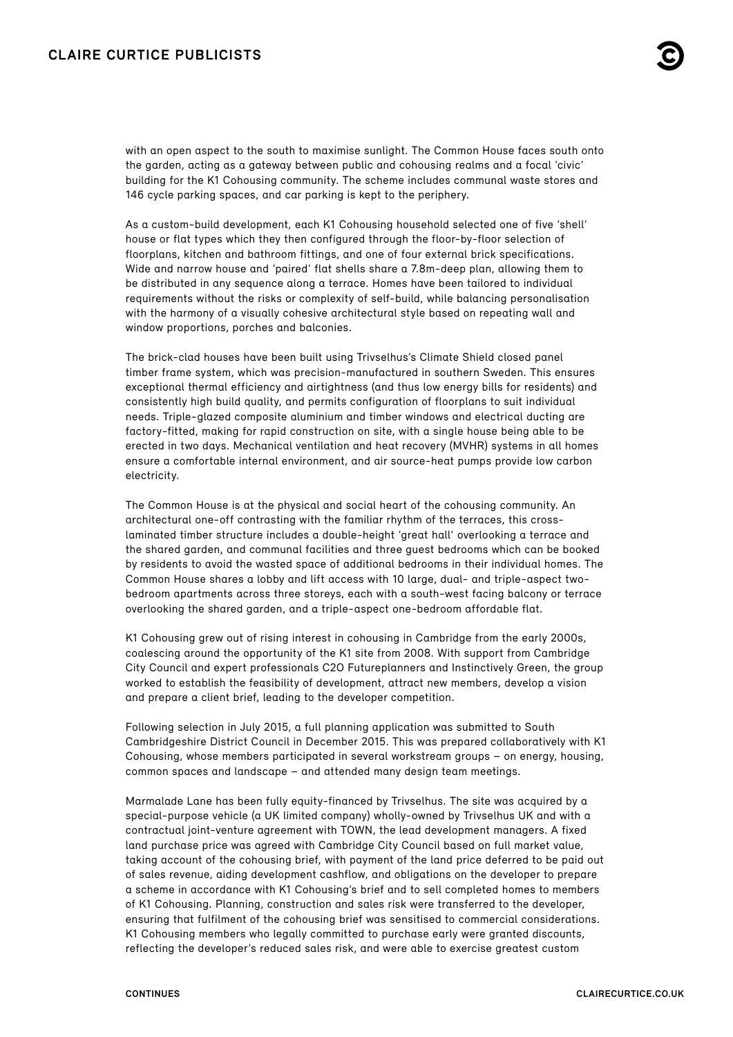## **CLAIRE CURTICE PUBLICISTS**

with an open aspect to the south to maximise sunlight. The Common House faces south onto the garden, acting as a gateway between public and cohousing realms and a focal 'civic' building for the K1 Cohousing community. The scheme includes communal waste stores and 146 cycle parking spaces, and car parking is kept to the periphery.

As a custom-build development, each K1 Cohousing household selected one of five 'shell' house or flat types which they then configured through the floor-by-floor selection of floorplans, kitchen and bathroom fittings, and one of four external brick specifications. Wide and narrow house and 'paired' flat shells share a 7.8m-deep plan, allowing them to be distributed in any sequence along a terrace. Homes have been tailored to individual requirements without the risks or complexity of self-build, while balancing personalisation with the harmony of a visually cohesive architectural style based on repeating wall and window proportions, porches and balconies.

The brick-clad houses have been built using Trivselhus's Climate Shield closed panel timber frame system, which was precision-manufactured in southern Sweden. This ensures exceptional thermal efficiency and airtightness (and thus low energy bills for residents) and consistently high build quality, and permits configuration of floorplans to suit individual needs. Triple-glazed composite aluminium and timber windows and electrical ducting are factory-fitted, making for rapid construction on site, with a single house being able to be erected in two days. Mechanical ventilation and heat recovery (MVHR) systems in all homes ensure a comfortable internal environment, and air source-heat pumps provide low carbon electricity.

The Common House is at the physical and social heart of the cohousing community. An architectural one-off contrasting with the familiar rhythm of the terraces, this crosslaminated timber structure includes a double-height 'great hall' overlooking a terrace and the shared garden, and communal facilities and three guest bedrooms which can be booked by residents to avoid the wasted space of additional bedrooms in their individual homes. The Common House shares a lobby and lift access with 10 large, dual- and triple-aspect twobedroom apartments across three storeys, each with a south-west facing balcony or terrace overlooking the shared garden, and a triple-aspect one-bedroom affordable flat.

K1 Cohousing grew out of rising interest in cohousing in Cambridge from the early 2000s, coalescing around the opportunity of the K1 site from 2008. With support from Cambridge City Council and expert professionals C2O Futureplanners and Instinctively Green, the group worked to establish the feasibility of development, attract new members, develop a vision and prepare a client brief, leading to the developer competition.

Following selection in July 2015, a full planning application was submitted to South Cambridgeshire District Council in December 2015. This was prepared collaboratively with K1 Cohousing, whose members participated in several workstream groups – on energy, housing, common spaces and landscape – and attended many design team meetings.

Marmalade Lane has been fully equity-financed by Trivselhus. The site was acquired by a special-purpose vehicle (a UK limited company) wholly-owned by Trivselhus UK and with a contractual joint-venture agreement with TOWN, the lead development managers. A fixed land purchase price was agreed with Cambridge City Council based on full market value, taking account of the cohousing brief, with payment of the land price deferred to be paid out of sales revenue, aiding development cashflow, and obligations on the developer to prepare a scheme in accordance with K1 Cohousing's brief and to sell completed homes to members of K1 Cohousing. Planning, construction and sales risk were transferred to the developer, ensuring that fulfilment of the cohousing brief was sensitised to commercial considerations. K1 Cohousing members who legally committed to purchase early were granted discounts, reflecting the developer's reduced sales risk, and were able to exercise greatest custom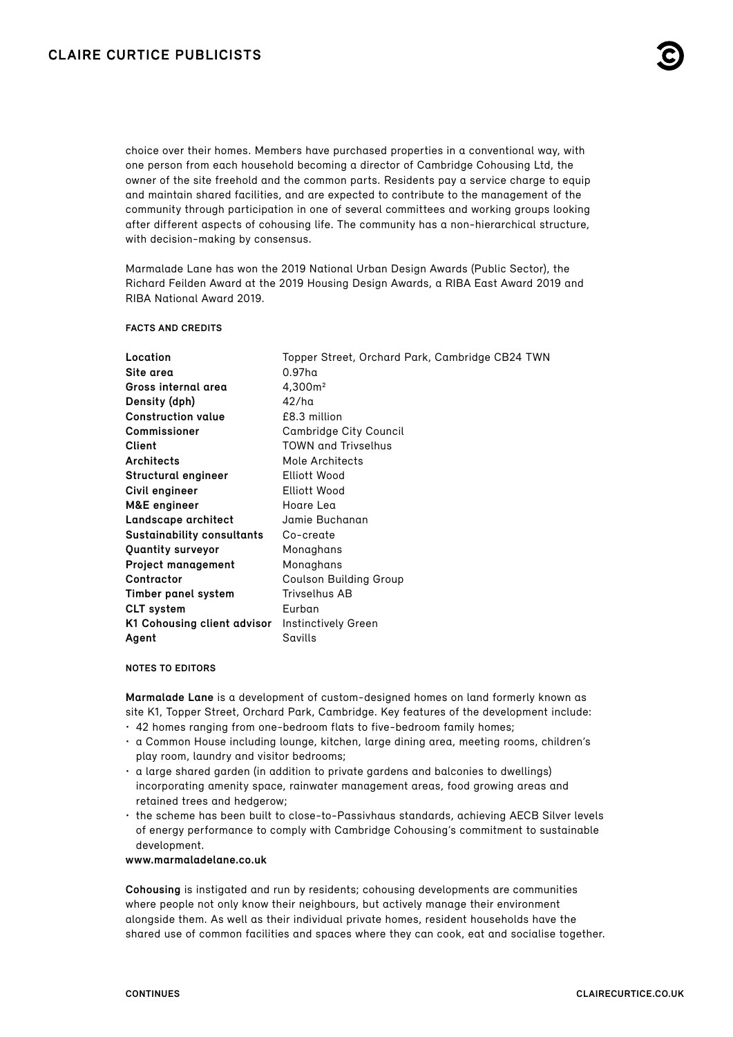choice over their homes. Members have purchased properties in a conventional way, with one person from each household becoming a director of Cambridge Cohousing Ltd, the owner of the site freehold and the common parts. Residents pay a service charge to equip and maintain shared facilities, and are expected to contribute to the management of the community through participation in one of several committees and working groups looking after different aspects of cohousing life. The community has a non-hierarchical structure, with decision-making by consensus.

Marmalade Lane has won the 2019 National Urban Design Awards (Public Sector), the Richard Feilden Award at the 2019 Housing Design Awards, a RIBA East Award 2019 and RIBA National Award 2019.

#### **FACTS AND CREDITS**

| Location                          | Topper Street, Orchard Park, Cambridge CB24 TWN |
|-----------------------------------|-------------------------------------------------|
| Site area                         | $0.97$ ha                                       |
| Gross internal area               | 4,300m <sup>2</sup>                             |
| Density (dph)                     | 42/ha                                           |
| <b>Construction value</b>         | £8.3 million                                    |
| <b>Commissioner</b>               | <b>Cambridge City Council</b>                   |
| Client                            | <b>TOWN and Trivselhus</b>                      |
| Architects                        | Mole Architects                                 |
| Structural engineer               | Elliott Wood                                    |
| Civil engineer                    | Elliott Wood                                    |
| M&E engineer                      | Hoare Lea                                       |
| Landscape architect               | Jamie Buchanan                                  |
| <b>Sustainability consultants</b> | Co-create                                       |
| Quantity surveyor                 | Monaghans                                       |
| <b>Project management</b>         | Monaghans                                       |
| Contractor                        | Coulson Building Group                          |
| Timber panel system               | <b>Trivselhus AB</b>                            |
| <b>CLT</b> system                 | Eurban                                          |
| K1 Cohousing client advisor       | Instinctively Green                             |
| Agent                             | Savills                                         |

#### **NOTES TO EDITORS**

**Marmalade Lane** is a development of custom-designed homes on land formerly known as site K1, Topper Street, Orchard Park, Cambridge. Key features of the development include:

- 42 homes ranging from one-bedroom flats to five-bedroom family homes;
- a Common House including lounge, kitchen, large dining area, meeting rooms, children's play room, laundry and visitor bedrooms;
- a large shared garden (in addition to private gardens and balconies to dwellings) incorporating amenity space, rainwater management areas, food growing areas and retained trees and hedgerow;
- the scheme has been built to close-to-Passivhaus standards, achieving AECB Silver levels of energy performance to comply with Cambridge Cohousing's commitment to sustainable development.

**www.marmaladelane.co.uk**

**Cohousing** is instigated and run by residents; cohousing developments are communities where people not only know their neighbours, but actively manage their environment alongside them. As well as their individual private homes, resident households have the shared use of common facilities and spaces where they can cook, eat and socialise together.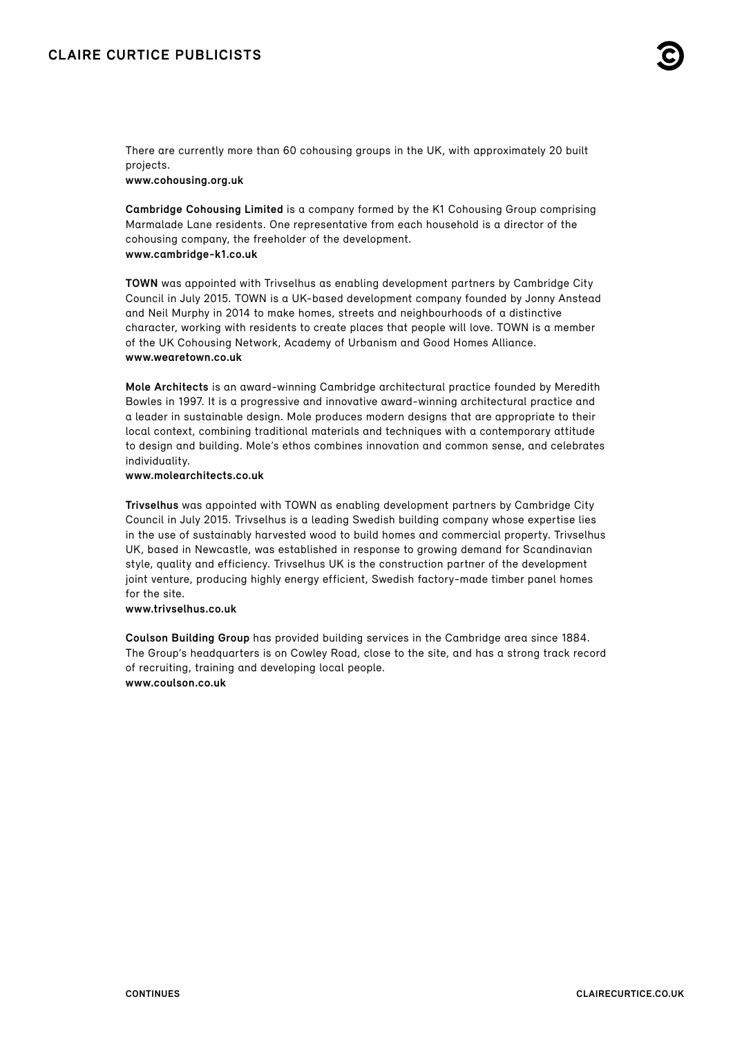There are currently more than 60 cohousing groups in the UK, with approximately 20 built projects.

**[www.cohousing.org.uk](https://cohousing.org.uk/)**

**Cambridge Cohousing Limited** is a company formed by the K1 Cohousing Group comprising Marmalade Lane residents. One representative from each household is a director of the cohousing company, the freeholder of the development. **www.cambridge-k1.co.uk**

**TOWN** was appointed with Trivselhus as enabling development partners by Cambridge City Council in July 2015. TOWN is a UK-based development company founded by Jonny Anstead and Neil Murphy in 2014 to make homes, streets and neighbourhoods of a distinctive character, working with residents to create places that people will love. TOWN is a member of the UK Cohousing Network, Academy of Urbanism and Good Homes Alliance. **www.wearetown.co.uk**

**Mole Architects** is an award-winning Cambridge architectural practice founded by Meredith Bowles in 1997. It is a progressive and innovative award-winning architectural practice and a leader in sustainable design. Mole produces modern designs that are appropriate to their local context, combining traditional materials and techniques with a contemporary attitude to design and building. Mole's ethos combines innovation and common sense, and celebrates individuality.

### **[www.molearchitects.co.uk](https://www.molearchitects.co.uk/)**

**Trivselhus** was appointed with TOWN as enabling development partners by Cambridge City Council in July 2015. Trivselhus is a leading Swedish building company whose expertise lies in the use of sustainably harvested wood to build homes and commercial property. Trivselhus UK, based in Newcastle, was established in response to growing demand for Scandinavian style, quality and efficiency. Trivselhus UK is the construction partner of the development joint venture, producing highly energy efficient, Swedish factory-made timber panel homes for the site.

#### **[www.trivselhus.co.uk](https://www.trivselhus.co.uk/)**

**Coulson Building Group** has provided building services in the Cambridge area since 1884. The Group's headquarters is on Cowley Road, close to the site, and has a strong track record of recruiting, training and developing local people. **[www.coulson.co.uk](https://www.coulson.co.uk/)**